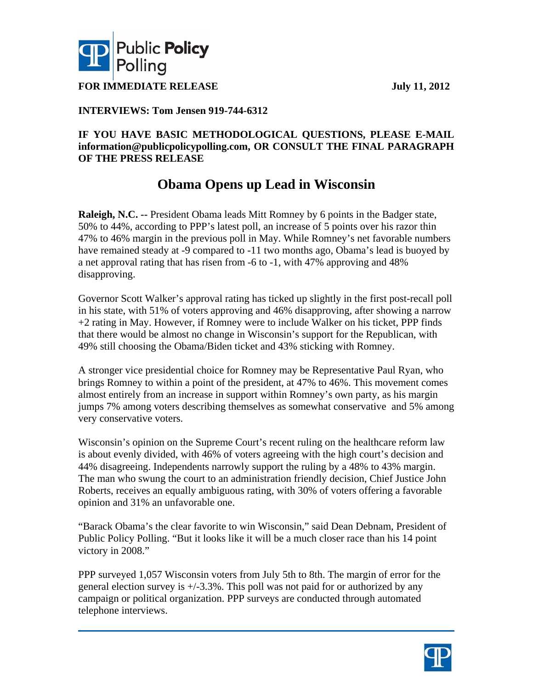



**FOR IMMEDIATE RELEASE** July 11, 2012

## **INTERVIEWS: Tom Jensen 919-744-6312**

### **IF YOU HAVE BASIC METHODOLOGICAL QUESTIONS, PLEASE E-MAIL information@publicpolicypolling.com, OR CONSULT THE FINAL PARAGRAPH OF THE PRESS RELEASE**

# **Obama Opens up Lead in Wisconsin**

**Raleigh, N.C. --** President Obama leads Mitt Romney by 6 points in the Badger state, 50% to 44%, according to PPP's latest poll, an increase of 5 points over his razor thin 47% to 46% margin in the previous poll in May. While Romney's net favorable numbers have remained steady at -9 compared to -11 two months ago, Obama's lead is buoyed by a net approval rating that has risen from -6 to -1, with 47% approving and 48% disapproving.

Governor Scott Walker's approval rating has ticked up slightly in the first post-recall poll in his state, with 51% of voters approving and 46% disapproving, after showing a narrow +2 rating in May. However, if Romney were to include Walker on his ticket, PPP finds that there would be almost no change in Wisconsin's support for the Republican, with 49% still choosing the Obama/Biden ticket and 43% sticking with Romney.

A stronger vice presidential choice for Romney may be Representative Paul Ryan, who brings Romney to within a point of the president, at 47% to 46%. This movement comes almost entirely from an increase in support within Romney's own party, as his margin jumps 7% among voters describing themselves as somewhat conservative and 5% among very conservative voters.

Wisconsin's opinion on the Supreme Court's recent ruling on the healthcare reform law is about evenly divided, with 46% of voters agreeing with the high court's decision and 44% disagreeing. Independents narrowly support the ruling by a 48% to 43% margin. The man who swung the court to an administration friendly decision, Chief Justice John Roberts, receives an equally ambiguous rating, with 30% of voters offering a favorable opinion and 31% an unfavorable one.

"Barack Obama's the clear favorite to win Wisconsin," said Dean Debnam, President of Public Policy Polling. "But it looks like it will be a much closer race than his 14 point victory in 2008."

PPP surveyed 1,057 Wisconsin voters from July 5th to 8th. The margin of error for the general election survey is +/-3.3%. This poll was not paid for or authorized by any campaign or political organization. PPP surveys are conducted through automated telephone interviews.

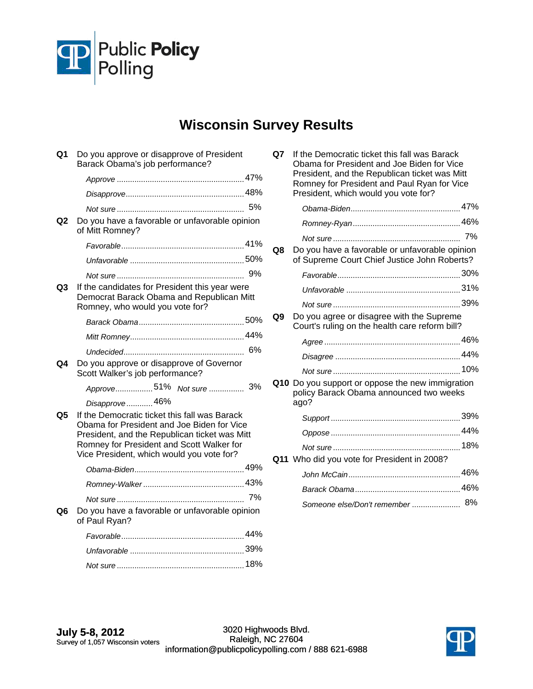

# **Wisconsin Survey Results**

| Q1             | Do you approve or disapprove of President<br>Barack Obama's job performance?                                                                                                                                                           |    |
|----------------|----------------------------------------------------------------------------------------------------------------------------------------------------------------------------------------------------------------------------------------|----|
|                |                                                                                                                                                                                                                                        |    |
|                |                                                                                                                                                                                                                                        |    |
|                |                                                                                                                                                                                                                                        | 5% |
| Q <sub>2</sub> | Do you have a favorable or unfavorable opinion<br>of Mitt Romney?                                                                                                                                                                      |    |
|                |                                                                                                                                                                                                                                        |    |
|                |                                                                                                                                                                                                                                        |    |
|                |                                                                                                                                                                                                                                        |    |
| Q3             | If the candidates for President this year were<br>Democrat Barack Obama and Republican Mitt<br>Romney, who would you vote for?                                                                                                         |    |
|                |                                                                                                                                                                                                                                        |    |
|                |                                                                                                                                                                                                                                        |    |
|                |                                                                                                                                                                                                                                        |    |
| Q4             | Do you approve or disapprove of Governor<br>Scott Walker's job performance?                                                                                                                                                            |    |
|                | Approve51% Not sure                                                                                                                                                                                                                    | 3% |
|                | Disapprove46%                                                                                                                                                                                                                          |    |
| Q5             | If the Democratic ticket this fall was Barack<br>Obama for President and Joe Biden for Vice<br>President, and the Republican ticket was Mitt<br>Romney for President and Scott Walker for<br>Vice President, which would you vote for? |    |
|                |                                                                                                                                                                                                                                        |    |
|                |                                                                                                                                                                                                                                        |    |
|                |                                                                                                                                                                                                                                        |    |
| Q6             | Do you have a favorable or unfavorable opinion<br>of Paul Ryan?                                                                                                                                                                        |    |
|                |                                                                                                                                                                                                                                        |    |
|                |                                                                                                                                                                                                                                        |    |
|                |                                                                                                                                                                                                                                        |    |
|                |                                                                                                                                                                                                                                        |    |

| Q7 | If the Democratic ticket this fall was Barack<br>Obama for President and Joe Biden for Vice<br>President, and the Republican ticket was Mitt<br>Romney for President and Paul Ryan for Vice<br>President, which would you vote for? |  |
|----|-------------------------------------------------------------------------------------------------------------------------------------------------------------------------------------------------------------------------------------|--|
|    |                                                                                                                                                                                                                                     |  |
|    |                                                                                                                                                                                                                                     |  |
|    |                                                                                                                                                                                                                                     |  |
| Q8 | Do you have a favorable or unfavorable opinion<br>of Supreme Court Chief Justice John Roberts?                                                                                                                                      |  |
|    |                                                                                                                                                                                                                                     |  |
|    |                                                                                                                                                                                                                                     |  |
|    |                                                                                                                                                                                                                                     |  |
| Q9 | Do you agree or disagree with the Supreme<br>Court's ruling on the health care reform bill?                                                                                                                                         |  |
|    |                                                                                                                                                                                                                                     |  |
|    |                                                                                                                                                                                                                                     |  |
|    |                                                                                                                                                                                                                                     |  |
|    | Q10 Do you support or oppose the new immigration<br>policy Barack Obama announced two weeks<br>ago?                                                                                                                                 |  |
|    |                                                                                                                                                                                                                                     |  |
|    |                                                                                                                                                                                                                                     |  |
|    |                                                                                                                                                                                                                                     |  |
|    | Q11 Who did you vote for President in 2008?                                                                                                                                                                                         |  |
|    |                                                                                                                                                                                                                                     |  |
|    |                                                                                                                                                                                                                                     |  |
|    | Someone else/Don't remember  8%                                                                                                                                                                                                     |  |

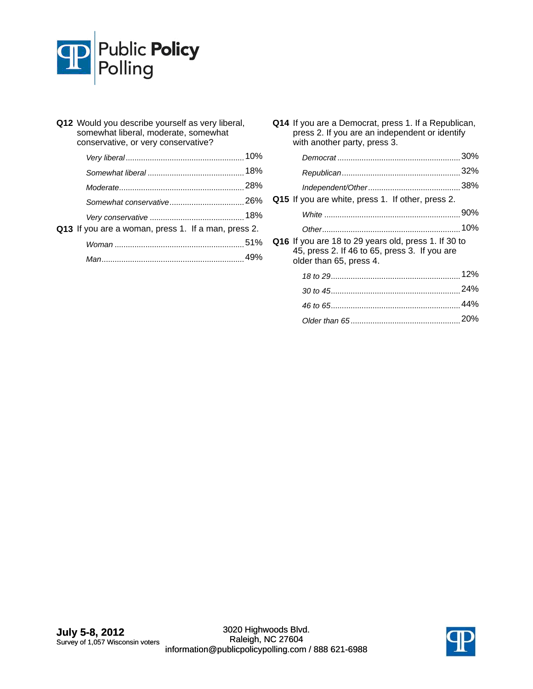

| Q12 Would you describe yourself as very liberal,<br>somewhat liberal, moderate, somewhat<br>conservative, or very conservative? |     |  |  |  |  |
|---------------------------------------------------------------------------------------------------------------------------------|-----|--|--|--|--|
|                                                                                                                                 |     |  |  |  |  |
|                                                                                                                                 |     |  |  |  |  |
|                                                                                                                                 |     |  |  |  |  |
|                                                                                                                                 |     |  |  |  |  |
|                                                                                                                                 |     |  |  |  |  |
| Q13 If you are a woman, press 1. If a man, press 2.                                                                             |     |  |  |  |  |
|                                                                                                                                 |     |  |  |  |  |
|                                                                                                                                 | 49% |  |  |  |  |

**Q14** If you are a Democrat, press 1. If a Republican, press 2. If you are an independent or identify with another party, press 3.

| Q15 If you are white, press 1. If other, press 2.                                                                                |  |
|----------------------------------------------------------------------------------------------------------------------------------|--|
|                                                                                                                                  |  |
|                                                                                                                                  |  |
| Q16 If you are 18 to 29 years old, press 1. If 30 to<br>45, press 2. If 46 to 65, press 3. If you are<br>older than 65, press 4. |  |
|                                                                                                                                  |  |
|                                                                                                                                  |  |
|                                                                                                                                  |  |
|                                                                                                                                  |  |
|                                                                                                                                  |  |

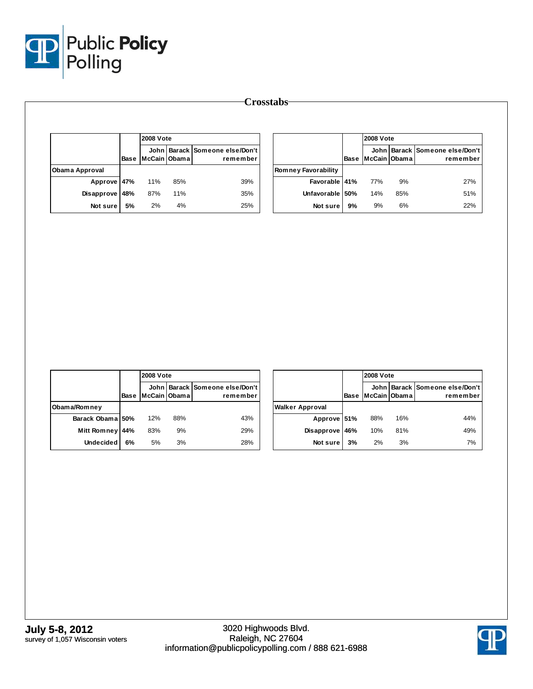

|                       |      | <b>2008 Vote</b> |     |                                            |
|-----------------------|------|------------------|-----|--------------------------------------------|
|                       | Base | McCain Obama     |     | John Barack Someone else/Don't<br>remember |
| <b>Obama Approval</b> |      |                  |     |                                            |
| Approve               | 47%  | 11%              | 85% | 39%                                        |
| Disapprove            | 48%  | 87%              | 11% | 35%                                        |
| Not sure              | 5%   | 2%               | 4%  | 25%                                        |

|                            |      |              | <b>2008 Vote</b> |                                            |  |
|----------------------------|------|--------------|------------------|--------------------------------------------|--|
|                            | Base | McCain Obama |                  | John Barack Someone else/Don't<br>remember |  |
| <b>Romney Favorability</b> |      |              |                  |                                            |  |
| Favorable 41%              |      | 77%          | 9%               | 27%                                        |  |
| Unfavorable                | 50%  | 14%          | 85%              | 51%                                        |  |
| Not sure                   | 9%   | 9%           | 6%               | 22%                                        |  |

|                    |      | <b>2008 Vote</b> |     |                                            |
|--------------------|------|------------------|-----|--------------------------------------------|
|                    | Base | McCain Obama     |     | John Barack Someone else/Don't<br>remember |
| Obama/Romney       |      |                  |     |                                            |
| Barack Obama 50%   |      | 12%              | 88% | 43%                                        |
| <b>Mitt Romney</b> | 44%  | 83%              | 9%  | 29%                                        |
| <b>Undecided</b>   | 6%   | 5%               | 3%  | 28%                                        |

|                        |             |              | <b>2008 Vote</b> |                                            |  |  |
|------------------------|-------------|--------------|------------------|--------------------------------------------|--|--|
|                        | <b>Base</b> | McCain Obama |                  | John Barack Someone else/Don't<br>remember |  |  |
| <b>Walker Approval</b> |             |              |                  |                                            |  |  |
| Approve 51%            |             | 88%          | 16%              | 44%                                        |  |  |
| <b>Disapprove</b>      | 46%         | 10%          | 81%              | 49%                                        |  |  |
| Not sure               | 3%          | 2%           | 3%               | 7%                                         |  |  |

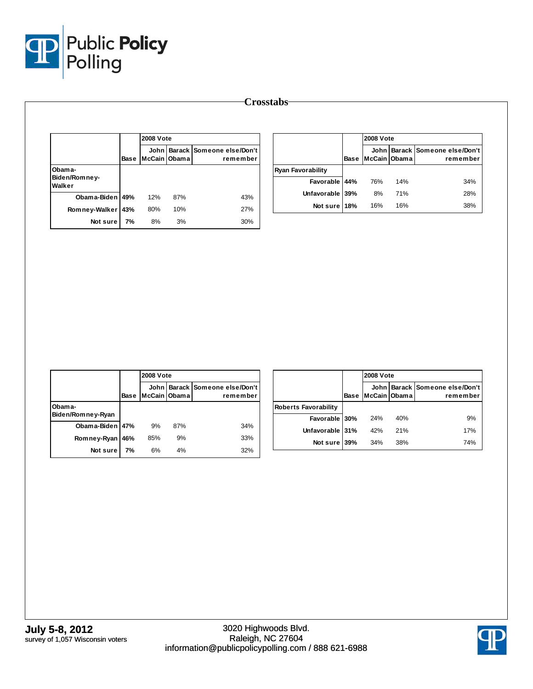

|                                   |      | 2008 Vote              |     |                                              |
|-----------------------------------|------|------------------------|-----|----------------------------------------------|
|                                   | Base | John<br>McCain   Obama |     | <b>Barack Someone else/Don't</b><br>remember |
| Obama-<br>Biden/Romney-<br>Walker |      |                        |     |                                              |
| Obama-Biden 49%                   |      | 12%                    | 87% | 43%                                          |
| Romney-Walker                     | 43%  | 80%                    | 10% | 27%                                          |
| Not sure                          | 7%   | 8%                     | 3%  | 30%                                          |

|                          |             | <b>2008 Vote</b> |     |                                            |
|--------------------------|-------------|------------------|-----|--------------------------------------------|
|                          | <b>Base</b> | McCain Obama     |     | John Barack Someone else/Don't<br>remember |
| <b>Ryan Favorability</b> |             |                  |     |                                            |
| Favorable 44%            |             | 76%              | 14% | 34%                                        |
| Unfavorable 39%          |             | 8%               | 71% | 28%                                        |
| Not sure 18%             |             | 16%              | 16% | 38%                                        |

|                             |             | <b>2008 Vote</b> |     |                                                |
|-----------------------------|-------------|------------------|-----|------------------------------------------------|
|                             | <b>Base</b> | McCain Obama     |     | John   Barack   Someone else/Don't<br>remember |
| Obama-<br>Biden/Romney-Ryan |             |                  |     |                                                |
| Obama-Biden 47%             |             | 9%               | 87% | 34%                                            |
| Romney-Ryan                 | 46%         | 85%              | 9%  | 33%                                            |
| Not sure                    | 7%          | 6%               | 4%  | 32%                                            |

|                             |             |              | <b>2008 Vote</b> |                                            |  |  |
|-----------------------------|-------------|--------------|------------------|--------------------------------------------|--|--|
|                             | <b>Base</b> | McCain Obama |                  | John Barack Someone else/Don't<br>remember |  |  |
| <b>Roberts Favorability</b> |             |              |                  |                                            |  |  |
| Favorable 30%               |             | 24%          | 40%              | 9%                                         |  |  |
| Unfavorable 31%             |             | 42%          | 21%              | 17%                                        |  |  |
| Not sure 39%                |             | 34%          | 38%              | 74%                                        |  |  |

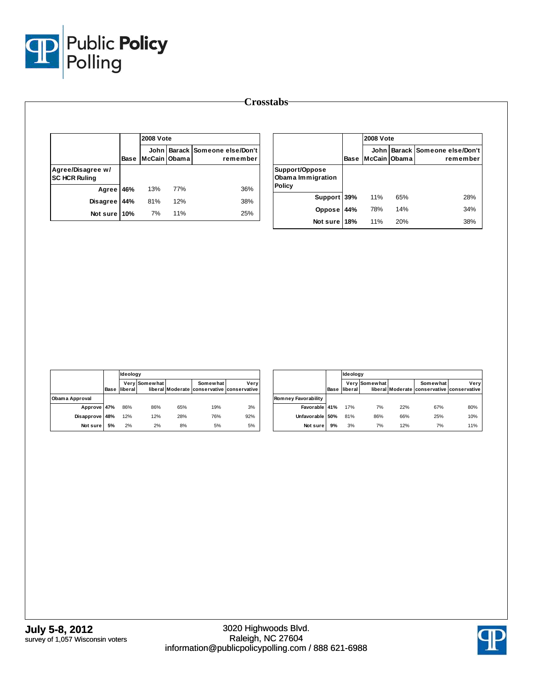

|                                           |      | <b>2008 Vote</b>            |     |                                       |
|-------------------------------------------|------|-----------------------------|-----|---------------------------------------|
|                                           | Base | <b>John</b><br>McCain Obama |     | Barack Someone else/Don't<br>remember |
| Agree/Disagree w/<br><b>SC HCR Ruling</b> |      |                             |     |                                       |
| Agree                                     | 46%  | 13%                         | 77% | 36%                                   |
| <b>Disagree</b>                           | 44%  | 81%                         | 12% | 38%                                   |
| Not sure 10%                              |      | 7%                          | 11% | 25%                                   |

|                                                      |      | <b>2008 Vote</b> |     |                                            |
|------------------------------------------------------|------|------------------|-----|--------------------------------------------|
|                                                      | Base | McCain   Obama   |     | John Barack Someone else/Don't<br>remember |
| Support/Oppose<br>Obama Immigration<br><b>Policy</b> |      |                  |     |                                            |
| Support 39%                                          |      | 11%              | 65% | 28%                                        |
| Oppose                                               | 44%  | 78%              | 14% | 34%                                        |
| Not sure                                             | 18%  | 11%              | 20% | 38%                                        |

|                |      | Ideology |               |     |                                                        |      |  |
|----------------|------|----------|---------------|-----|--------------------------------------------------------|------|--|
|                | Base | liberal  | Very Somewhat |     | Somewhat<br>liberal Moderate conservative conservative | Very |  |
| Obama Approval |      |          |               |     |                                                        |      |  |
| Approve 47%    |      | 86%      | 86%           | 65% | 19%                                                    | 3%   |  |
| Disapprove 48% |      | 12%      | 12%           | 28% | 76%                                                    | 92%  |  |
| Not sure       | 5%   | 2%       | 2%            | 8%  | 5%                                                     | 5%   |  |

|                     |      | Ideology |               |     |                                                        |      |
|---------------------|------|----------|---------------|-----|--------------------------------------------------------|------|
|                     | Base | liberal  | Very Somewhat |     | Somewhat<br>liberal Moderate conservative conservative | Verv |
| Romney Favorability |      |          |               |     |                                                        |      |
| Favorable 41%       |      | 17%      | 7%            | 22% | 67%                                                    | 80%  |
| Unfavorable 50%     |      | 81%      | 86%           | 66% | 25%                                                    | 10%  |
| Not sure            | 9%   | 3%       | 7%            | 12% | 7%                                                     | 11%  |

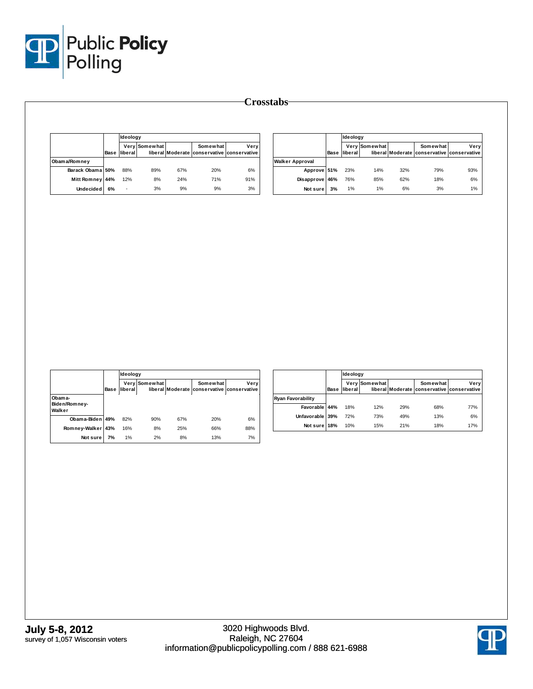

|                         |    | Ideology                    |               |     |                                                        |       |                          |    | Ideology            |               |     |                                                        |       |
|-------------------------|----|-----------------------------|---------------|-----|--------------------------------------------------------|-------|--------------------------|----|---------------------|---------------|-----|--------------------------------------------------------|-------|
|                         |    | <b>Base liberal</b>         | Very Somewhat |     | Somewhat<br>liberal Moderate conservative conservative | Very  |                          |    | <b>Base</b> liberal | Very Somewhat |     | Somewhat<br>liberal Moderate conservative conservative | Very  |
| Obama/Romney            |    |                             |               |     |                                                        |       | <b>Walker Approval</b>   |    |                     |               |     |                                                        |       |
| Barack Obama 50%        |    | 88%                         | 89%           | 67% | 20%                                                    | 6%    | Approve 51%              |    | 23%                 | 14%           | 32% | 79%                                                    | 93%   |
| Mitt Romney 44%         |    | 12%                         | $8\%$         | 24% | 71%                                                    | 91%   | Disapprove 46%           |    | 76%                 | 85%           | 62% | 18%                                                    | 6%    |
| <b>Undecided</b>        | 6% | $\mathcal{L}_{\mathcal{A}}$ | 3%            | 9%  | 9%                                                     | $3\%$ | Not sure                 | 3% | 1%                  | 1%            | 6%  | 3%                                                     | 1%    |
|                         |    |                             |               |     |                                                        |       |                          |    |                     |               |     |                                                        |       |
|                         |    |                             |               |     |                                                        |       |                          |    |                     |               |     |                                                        |       |
|                         |    | Ideology                    |               |     |                                                        |       |                          |    | Ideology            |               |     |                                                        |       |
|                         |    | Base liberal                | Very Somewhat |     | Somewhat<br>liberal Moderate conservative conservative | Very  |                          |    | <b>Base</b> liberal | Very Somewhat |     | Somewhat<br>liberal Moderate conservative conservative | Very  |
| Obama-                  |    |                             |               |     |                                                        |       | <b>Ryan Favorability</b> |    |                     |               |     |                                                        |       |
| Biden/Romney-<br>Walker |    |                             |               |     |                                                        |       | Favorable 44%            |    | 18%                 | 12%           | 29% | 68%                                                    | 77%   |
| Obama-Biden 49%         |    | 82%                         | 90%           | 67% | 20%                                                    | 6%    | Unfavorable 39%          |    | 72%                 | 73%           | 49% | 13%                                                    | $6\%$ |
| Romney-Walker 43%       |    | 16%                         | 8%            | 25% | 66%                                                    | 88%   | Not sure 18%             |    | 10%                 | 15%           | 21% | 18%                                                    | 17%   |

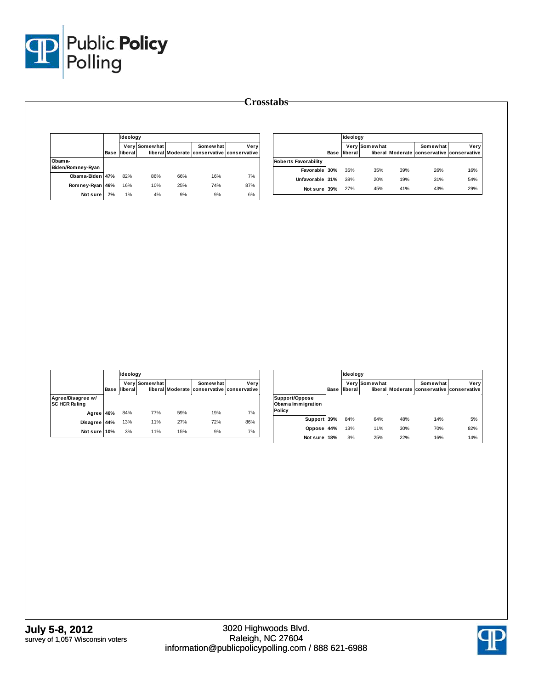

|                             |      | Ideology |               |     |                                                        |      |
|-----------------------------|------|----------|---------------|-----|--------------------------------------------------------|------|
|                             | Base | liberal! | Very Somewhat |     | Somewhat<br>liberal Moderate conservative conservative | Very |
| Obama-<br>Biden/Romney-Ryan |      |          |               |     |                                                        |      |
| Obama-Biden 47%             |      | 82%      | 86%           | 66% | 16%                                                    | 7%   |
| Romney-Ryan                 | 46%  | 16%      | 10%           | 25% | 74%                                                    | 87%  |
| Not sure                    | 7%   | 1%       | 4%            | 9%  | 9%                                                     | 6%   |

|                             |      | Ideology        |               |     |                                                        |      |
|-----------------------------|------|-----------------|---------------|-----|--------------------------------------------------------|------|
|                             | Base | <b>Iliberal</b> | Very Somewhat |     | Somewhat<br>liberal Moderate conservative conservative | Verv |
| <b>Roberts Favorability</b> |      |                 |               |     |                                                        |      |
| Favorable 30%               |      | 35%             | 35%           | 39% | 26%                                                    | 16%  |
| Unfavorable 31%             |      | 38%             | 20%           | 19% | 31%                                                    | 54%  |
| Not sure                    | 39%  | 27%             | 45%           | 41% | 43%                                                    | 29%  |

|                                           |             | Ideology |               |     |                                                        |      |  |
|-------------------------------------------|-------------|----------|---------------|-----|--------------------------------------------------------|------|--|
|                                           | <b>Base</b> | liberal  | Very Somewhat |     | Somewhat<br>liberal Moderate conservative conservative | Very |  |
| Agree/Disagree w/<br><b>SC HCR Ruling</b> |             |          |               |     |                                                        |      |  |
| Agree                                     | 46%         | 84%      | 77%           | 59% | 19%                                                    | 7%   |  |
| Disagree                                  | 44%         | 13%      | 11%           | 27% | 72%                                                    | 86%  |  |
| Not sure 10%                              |             | 3%       | 11%           | 15% | 9%                                                     | 7%   |  |

|                                                      |      | Ideology |               |     |                                                        |      |
|------------------------------------------------------|------|----------|---------------|-----|--------------------------------------------------------|------|
|                                                      | Base | liberal  | Very Somewhat |     | Somewhat<br>liberal Moderate conservative conservative | Very |
| Support/Oppose<br>Obama Immigration<br><b>Policy</b> |      |          |               |     |                                                        |      |
| Support 39%                                          |      | 84%      | 64%           | 48% | 14%                                                    | 5%   |
| Oppose                                               | 44%  | 13%      | 11%           | 30% | 70%                                                    | 82%  |
| Not sure                                             | 18%  | 3%       | 25%           | 22% | 16%                                                    | 14%  |

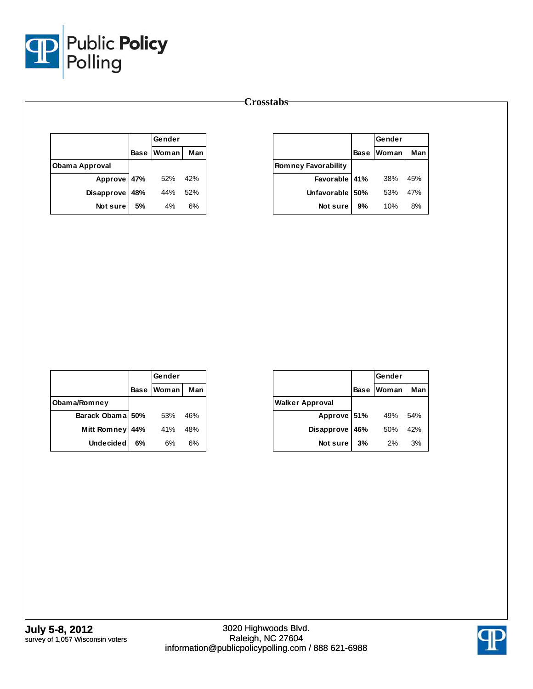

|                |      | Gender       |     |
|----------------|------|--------------|-----|
|                | Base | <b>Woman</b> | Man |
| Obama Approval |      |              |     |
| Approve 47%    |      | 52%          | 42% |
| Disapprove     | 48%  | 44%          | 52% |
| Not sure       | 5%   | 4%           | 6%  |

|                            |             | Gender       |     |
|----------------------------|-------------|--------------|-----|
|                            | <b>Base</b> | <b>Woman</b> | Man |
| <b>Romney Favorability</b> |             |              |     |
| Favorable 41%              |             | 38%          | 45% |
| Unfavorable 50%            |             | 53%          | 47% |
| Not sure                   | 9%          | 10%          | 8%  |

|                    |     | Gender       |     |
|--------------------|-----|--------------|-----|
|                    |     | Base   Woman | Man |
| Obama/Romney       |     |              |     |
| Barack Obama 50%   |     | 53%          | 46% |
| <b>Mitt Romney</b> | 44% | 41%          | 48% |
| <b>Undecided</b>   | 6%  | 6%           | 6%  |

|                        |             | Gender |     |
|------------------------|-------------|--------|-----|
|                        | <b>Base</b> | Woman  | Man |
| <b>Walker Approval</b> |             |        |     |
| Approve 51%            |             | 49%    | 54% |
| Disapprove             | 46%         | 50%    | 42% |
| Not sure               | 3%          | 2%     | 3%  |

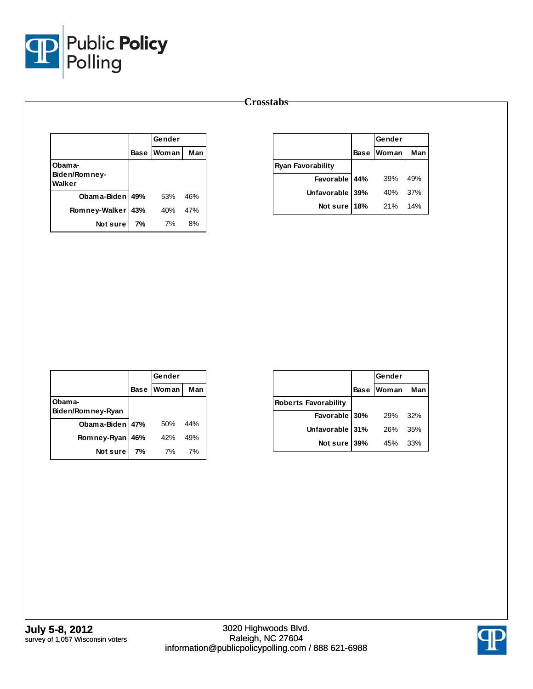

|                                   |     | Gender     |     |
|-----------------------------------|-----|------------|-----|
|                                   |     | Base Woman | Man |
| Obama-<br>Biden/Romney-<br>Walker |     |            |     |
| Obama-Biden 49%                   |     | 53%        | 46% |
| Romney-Walker                     | 43% | 40%        | 47% |
| Not sure                          | 7%  | 7%         | 8%  |

|                          |             | Gender |     |
|--------------------------|-------------|--------|-----|
|                          | <b>Base</b> | Woman  | Man |
| <b>Ryan Favorability</b> |             |        |     |
| Favorable 44%            |             | 39%    | 49% |
| Unfavorable 39%          |             | 40%    | 37% |
| Not sure 18%             |             | 21%    | 14% |

|                              |             | Gender       |     |
|------------------------------|-------------|--------------|-----|
|                              | <b>Base</b> | <b>Woman</b> | Man |
| Obam a-<br>Biden/Romney-Ryan |             |              |     |
| Obama-Biden   47%            |             | 50%          | 44% |
| Romney-Ryan                  | 46%         | 42%          | 49% |
| Not sure                     | 7%          | 7%           | 7%  |

|                             |             | Gender |     |
|-----------------------------|-------------|--------|-----|
|                             | <b>Base</b> | Woman  | Man |
| <b>Roberts Favorability</b> |             |        |     |
| Favorable 30%               |             | 29%    | 32% |
| Unfavorable 31%             |             | 26%    | 35% |
| Not sure                    | 39%         | 45%    | 33% |

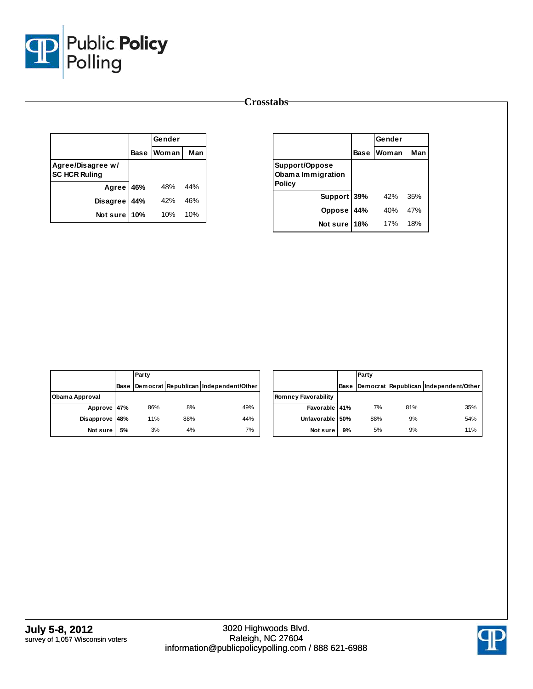

|                                           |             | Gender |     |
|-------------------------------------------|-------------|--------|-----|
|                                           | <b>Base</b> | Woman  | Man |
| Agree/Disagree w/<br><b>SC HCR Ruling</b> |             |        |     |
| Agree 46%                                 |             | 48%    | 44% |
| Disagree 44%                              |             | 42%    | 46% |
| Not sure                                  | 10%         | 10%    | 10% |

|                                                      |             | Gender       |     |
|------------------------------------------------------|-------------|--------------|-----|
|                                                      | <b>Base</b> | <b>Woman</b> | Man |
| Support/Oppose<br>Obama Immigration<br><b>Policy</b> |             |              |     |
| Support 39%                                          |             | 42%          | 35% |
| Oppose                                               | 44%         | 40%          | 47% |
| Not sure                                             | 18%         | <b>17%</b>   | 18% |

|                |      | Party |     |                                       |
|----------------|------|-------|-----|---------------------------------------|
|                | Base |       |     | Democrat Republican Independent/Other |
| Obama Approval |      |       |     |                                       |
| Approve 47%    |      | 86%   | 8%  | 49%                                   |
| Disapprove     | 48%  | 11%   | 88% | 44%                                   |
| Not sure       | 5%   | 3%    | 4%  | 7%                                    |

|                            |      | Party |     |                                       |
|----------------------------|------|-------|-----|---------------------------------------|
|                            | Base |       |     | Democrat Republican Independent/Other |
| <b>Romney Favorability</b> |      |       |     |                                       |
| Favorable 41%              |      | 7%    | 81% | 35%                                   |
| Unfavorable 50%            |      | 88%   | 9%  | 54%                                   |
| Not sure                   | 9%   | 5%    | 9%  | 11%                                   |

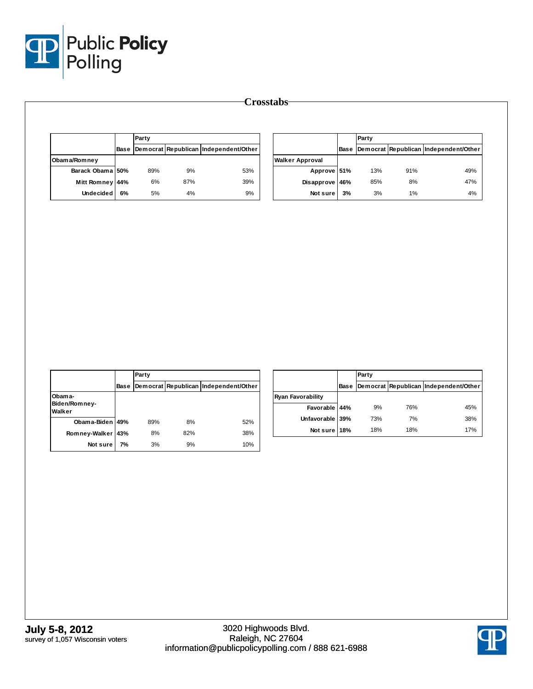

|                               |    | Party      |           |                                            |                                           |             | Party |       |                                            |
|-------------------------------|----|------------|-----------|--------------------------------------------|-------------------------------------------|-------------|-------|-------|--------------------------------------------|
|                               |    |            |           | Base Democrat Republican Independent/Other |                                           | <b>Base</b> |       |       | Democrat Republican Independent/Other      |
| Obama/Romney                  |    |            |           |                                            | <b>Walker Approval</b>                    |             |       |       |                                            |
| Barack Obama 50%              |    | 89%        | 9%        | 53%                                        | Approve 51%                               |             | 13%   | 91%   | 49%                                        |
| Mitt Romney 44%               |    | $6\%$      | 87%       | 39%                                        | Disapprove 46%                            |             | 85%   | 8%    | 47%                                        |
| Undecided                     | 6% | 5%         | $4\%$     | $9\%$                                      | Not sure                                  | 3%          | 3%    | 1%    | 4%                                         |
|                               |    |            |           |                                            |                                           |             |       |       |                                            |
|                               |    |            |           |                                            |                                           |             |       |       |                                            |
|                               |    | Party      |           |                                            |                                           |             | Party |       |                                            |
|                               |    |            |           | Base Democrat Republican Independent/Other |                                           |             |       |       | Base Democrat Republican Independent/Other |
| Obama-<br>Biden/Romney-       |    |            |           |                                            | <b>Ryan Favorability</b><br>Favorable 44% |             | 9%    | 76%   | 45%                                        |
| Walker<br>Obama-Biden 49%     |    | 89%        | 8%        | 52%                                        | Unfavorable 39%                           |             | 73%   | $7\%$ | 38%                                        |
|                               |    |            |           |                                            | Not sure 18%                              |             | 18%   | 18%   | 17%                                        |
| Romney-Walker 43%<br>Not sure | 7% | 8%<br>$3%$ | 82%<br>9% | 38%<br>10%                                 |                                           |             |       |       |                                            |

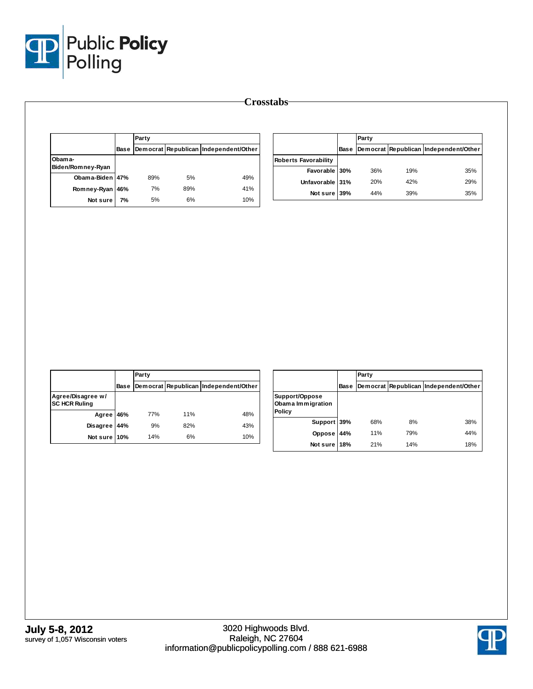

|                             |    |             | Party        |                                            |                             |     | Party |                                            |  |
|-----------------------------|----|-------------|--------------|--------------------------------------------|-----------------------------|-----|-------|--------------------------------------------|--|
|                             |    |             |              | Base Democrat Republican Independent/Other |                             |     |       | Base Democrat Republican Independent/Other |  |
| Obama-                      |    |             |              |                                            | <b>Roberts Favorability</b> |     |       |                                            |  |
| Biden/Romney-Ryan           |    |             |              |                                            | Favorable 30%               | 36% | 19%   |                                            |  |
| Obama-Biden 47%             |    | 89%         | 5%           | 49%                                        | Unfavorable 31%             | 20% | 42%   | 29%                                        |  |
| Romney-Ryan 46%<br>Not sure | 7% | 7%<br>$5\%$ | 89%<br>$6\%$ | 41%<br>10%                                 | Not sure 39%                | 44% | 39%   |                                            |  |
|                             |    |             |              |                                            |                             |     |       |                                            |  |

|                                           |      | Party |     |                                       |
|-------------------------------------------|------|-------|-----|---------------------------------------|
|                                           | Base |       |     | Democrat Republican Independent/Other |
| Agree/Disagree w/<br><b>SC HCR Ruling</b> |      |       |     |                                       |
| Agree 46%                                 |      | 77%   | 11% | 48%                                   |
| <b>Disagree</b>                           | 44%  | 9%    | 82% | 43%                                   |
| Not sure 10%                              |      | 14%   | 6%  | 10%                                   |

|                                               |      | Party |     |                                       |  |
|-----------------------------------------------|------|-------|-----|---------------------------------------|--|
|                                               | Base |       |     | Democrat Republican Independent/Other |  |
| Support/Oppose<br>Obama Immigration<br>Policy |      |       |     |                                       |  |
| Support 39%                                   |      | 68%   | 8%  | 38%                                   |  |
| Oppose                                        | 44%  | 11%   | 79% | 44%                                   |  |
| Not sure 18%                                  |      | 21%   | 14% | 18%                                   |  |

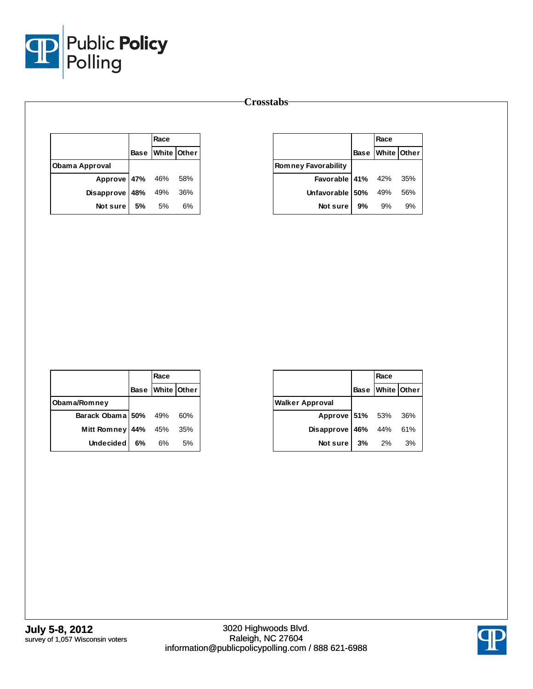

|                        |    | Race                 |    |
|------------------------|----|----------------------|----|
|                        |    | Base   White   Other |    |
| Obama Approval         |    |                      |    |
| Approve 47% 46% 58%    |    |                      |    |
| Disapprove 48% 49% 36% |    |                      |    |
| Not sure               | 5% | 5%                   | 6% |

|                              |    | Race             |    |
|------------------------------|----|------------------|----|
|                              |    | Base White Other |    |
| <b>Romney Favorability</b>   |    |                  |    |
| <b>Favorable 41%</b> 42% 35% |    |                  |    |
| Unfavorable $150\%$ 49% 56%  |    |                  |    |
| Not sure l                   | 9% | 9%               | 9% |

|                      |      | Race             |     |
|----------------------|------|------------------|-----|
|                      |      | Base White Other |     |
| Obama/Romney         |      |                  |     |
| Barack Obama 50% 49% |      |                  | 60% |
| <b>Mitt Romney</b>   | 44%  | 45%              | 35% |
| <b>Undecided</b>     | 6% l | 6%               | 5%  |

|                        | Race     |                  |
|------------------------|----------|------------------|
|                        |          | Base White Other |
| <b>Walker Approval</b> |          |                  |
| Approve 51% 53% 36%    |          |                  |
| Disapprove 46% 44% 61% |          |                  |
| Not sure               | $3\%$ 2% | 3%               |

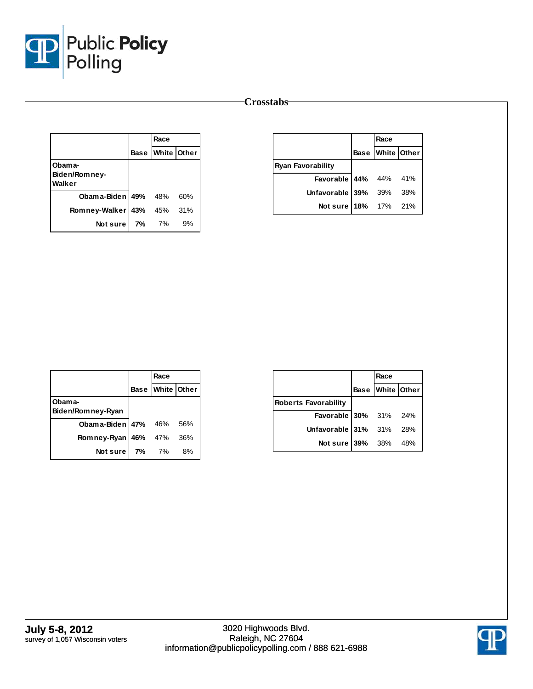

|                                   |    | Race             |     |
|-----------------------------------|----|------------------|-----|
|                                   |    | Base White Other |     |
| Obama-<br>Biden/Romney-<br>Walker |    |                  |     |
| <b>Obama-Biden 49%</b> 48%        |    |                  | 60% |
| Romney-Walker                     |    | 43% 45% 31%      |     |
| Notsurel                          | 7% | 7%               | 9%  |

|                          | Race             |  |
|--------------------------|------------------|--|
|                          | Base White Other |  |
| <b>Ryan Favorability</b> |                  |  |
| Favorable 44% 44% 41%    |                  |  |
| Unfavorable 39% 39% 38%  |                  |  |
| Not sure 18% 17% 21%     |                  |  |

|                                | Race             |    |
|--------------------------------|------------------|----|
|                                | Base White Other |    |
| Obam a-                        |                  |    |
| Biden/Romney-Ryan              |                  |    |
| <b>Obama-Biden 47%</b> 46% 56% |                  |    |
| Romney-Ryan 46% 47% 36%        |                  |    |
| <b>Not sure 7%</b> 7%          |                  | 8% |

|                             | Race |                  |
|-----------------------------|------|------------------|
|                             |      | Base White Other |
| <b>Roberts Favorability</b> |      |                  |
| Favorable 30% 31% 24%       |      |                  |
| Unfavorable 31% 31% 28%     |      |                  |
| Not sure 39% 38% 48%        |      |                  |

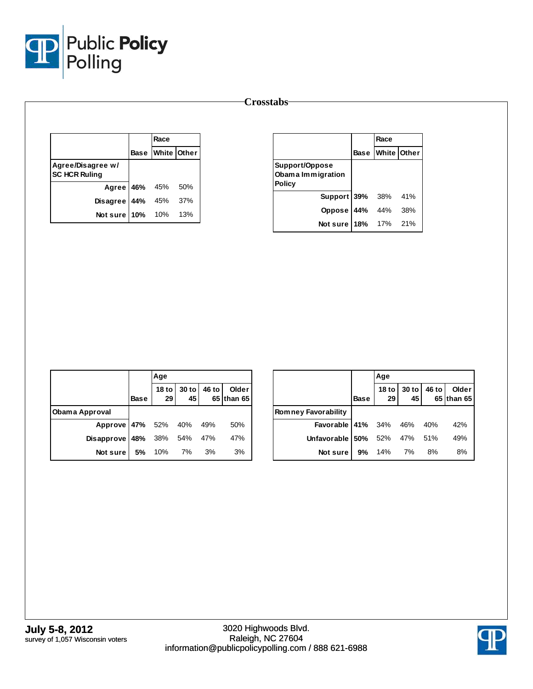

|                                           | Race             |  |
|-------------------------------------------|------------------|--|
|                                           | Base White Other |  |
| Agree/Disagree w/<br><b>SC HCR Ruling</b> |                  |  |
| Agree 46% 45% 50%                         |                  |  |
| Disagree 44% 45% 37%                      |                  |  |
| Not sure 10% 10% 13%                      |                  |  |

|                                                      | Race             |     |
|------------------------------------------------------|------------------|-----|
|                                                      | Base White Other |     |
| Support/Oppose<br>Obama Immigration<br><b>Policy</b> |                  |     |
| <b>Support 39% 38%</b>                               |                  | 41% |
| Oppose 44%                                           | 44%              | 38% |
| Not sure 18% 17% 21%                                 |                  |     |

|                                   |             | Age |  |                                             |
|-----------------------------------|-------------|-----|--|---------------------------------------------|
|                                   | <b>Base</b> |     |  | 18 to 30 to 46 to Older<br>29 45 65 than 65 |
| <b>Obama Approval</b>             |             |     |  |                                             |
| Approve 47% 52% 40% 49%           |             |     |  | 50%                                         |
| <b>Disapprove 48%</b> 38% 54% 47% |             |     |  | 47%                                         |
| <b>Not sure</b> 5% 10% 7% 3%      |             |     |  | 3%                                          |

|                                  |             | Age                 |                   |       |                     |
|----------------------------------|-------------|---------------------|-------------------|-------|---------------------|
|                                  | <b>Base</b> | 29 I                | 18 to 30 to<br>45 | 46 to | Older<br>65 than 65 |
| Romney Favorability              |             |                     |                   |       |                     |
| <b>Favorable 41%</b> 34% 46% 40% |             |                     |                   |       | 42%                 |
| Unfavorable 50% 52% 47% 51%      |             |                     |                   |       | 49%                 |
| Not sure I                       |             | <b>9%</b> 14% 7% 8% |                   |       | 8%                  |

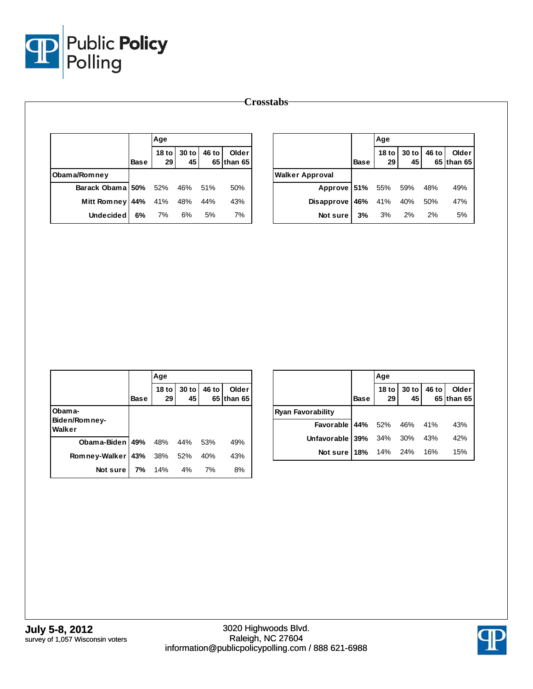

|                  |             | Age |                   |       |                     |                        |             | Age                    |             |       |                     |
|------------------|-------------|-----|-------------------|-------|---------------------|------------------------|-------------|------------------------|-------------|-------|---------------------|
|                  | <b>Base</b> | 29  | 18 to 30 to<br>45 | 46 to | Older<br>65 than 65 |                        | <b>Base</b> | 18 <sub>to</sub><br>29 | 30 to<br>45 | 46 to | Older<br>65 than 65 |
| Obama/Romney     |             |     |                   |       |                     | <b>Walker Approval</b> |             |                        |             |       |                     |
| Barack Obama 50% |             | 52% | 46%               | 51%   | 50%                 | Approve 51%            |             | 55%                    | 59%         | 48%   | 49%                 |
| Mitt Romney 44%  |             | 41% | 48%               | 44%   | 43%                 | Disapprove 46%         |             | 41%                    | 40%         | 50%   | 47%                 |
| <b>Undecided</b> | 6%          | 7%  | 6%                | 5%    | 7%                  | Not sure               | 3%          | 3%                     | 2%          | 2%    | 5%                  |

|                                   |             | Age                    |             |       |                      |
|-----------------------------------|-------------|------------------------|-------------|-------|----------------------|
|                                   | <b>Base</b> | 18 <sub>to</sub><br>29 | 30 to<br>45 | 46 to | Older<br>65 Ithan 65 |
| Obama-<br>Biden/Romney-<br>Walker |             |                        |             |       |                      |
| <b>Obama-Biden 49%</b> 48% 44%    |             |                        |             | 53%   | 49%                  |
| Romney-Walker                     |             | 43% 38% 52%            |             | 40%   | 43%                  |
| Not sure I                        | 7%          | 14%                    | 4%          | 7%    | 8%                   |

|                                  |             | Age         |                            |                     |
|----------------------------------|-------------|-------------|----------------------------|---------------------|
|                                  | <b>Base</b> |             | 18 to 30 to 46 to 29 45 65 | Older<br>65 than 65 |
| Ryan Favorability                |             |             |                            |                     |
| <b>Favorable 44%</b> 52% 46% 41% |             |             |                            | 43%                 |
| Unfavorable 39% 34% 30% 43%      |             |             |                            | 42%                 |
| Not sure 18%                     |             | 14% 24% 16% |                            | 15%                 |